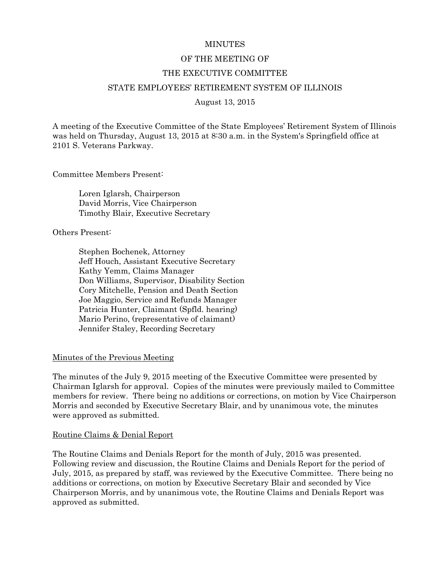#### **MINUTES**

#### OF THE MEETING OF

#### THE EXECUTIVE COMMITTEE

# STATE EMPLOYEES' RETIREMENT SYSTEM OF ILLINOIS

August 13, 2015

A meeting of the Executive Committee of the State Employees' Retirement System of Illinois was held on Thursday, August 13, 2015 at 8:30 a.m. in the System's Springfield office at 2101 S. Veterans Parkway.

Committee Members Present:

 Loren Iglarsh, Chairperson David Morris, Vice Chairperson Timothy Blair, Executive Secretary

Others Present:

 Stephen Bochenek, Attorney Jeff Houch, Assistant Executive Secretary Kathy Yemm, Claims Manager Don Williams, Supervisor, Disability Section Cory Mitchelle, Pension and Death Section Joe Maggio, Service and Refunds Manager Patricia Hunter, Claimant (Spfld. hearing) Mario Perino, (representative of claimant) Jennifer Staley, Recording Secretary

#### Minutes of the Previous Meeting

The minutes of the July 9, 2015 meeting of the Executive Committee were presented by Chairman Iglarsh for approval. Copies of the minutes were previously mailed to Committee members for review. There being no additions or corrections, on motion by Vice Chairperson Morris and seconded by Executive Secretary Blair, and by unanimous vote, the minutes were approved as submitted.

#### Routine Claims & Denial Report

The Routine Claims and Denials Report for the month of July, 2015 was presented. Following review and discussion, the Routine Claims and Denials Report for the period of July, 2015, as prepared by staff, was reviewed by the Executive Committee. There being no additions or corrections, on motion by Executive Secretary Blair and seconded by Vice Chairperson Morris, and by unanimous vote, the Routine Claims and Denials Report was approved as submitted.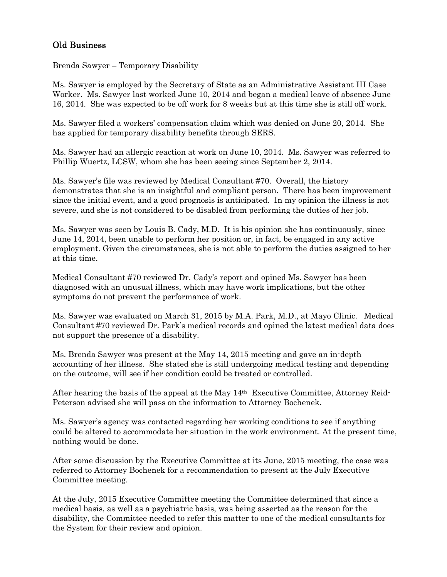# Old Business

# Brenda Sawyer – Temporary Disability

Ms. Sawyer is employed by the Secretary of State as an Administrative Assistant III Case Worker. Ms. Sawyer last worked June 10, 2014 and began a medical leave of absence June 16, 2014. She was expected to be off work for 8 weeks but at this time she is still off work.

Ms. Sawyer filed a workers' compensation claim which was denied on June 20, 2014. She has applied for temporary disability benefits through SERS.

Ms. Sawyer had an allergic reaction at work on June 10, 2014. Ms. Sawyer was referred to Phillip Wuertz, LCSW, whom she has been seeing since September 2, 2014.

Ms. Sawyer's file was reviewed by Medical Consultant #70. Overall, the history demonstrates that she is an insightful and compliant person. There has been improvement since the initial event, and a good prognosis is anticipated. In my opinion the illness is not severe, and she is not considered to be disabled from performing the duties of her job.

Ms. Sawyer was seen by Louis B. Cady, M.D. It is his opinion she has continuously, since June 14, 2014, been unable to perform her position or, in fact, be engaged in any active employment. Given the circumstances, she is not able to perform the duties assigned to her at this time.

Medical Consultant #70 reviewed Dr. Cady's report and opined Ms. Sawyer has been diagnosed with an unusual illness, which may have work implications, but the other symptoms do not prevent the performance of work.

Ms. Sawyer was evaluated on March 31, 2015 by M.A. Park, M.D., at Mayo Clinic. Medical Consultant #70 reviewed Dr. Park's medical records and opined the latest medical data does not support the presence of a disability.

Ms. Brenda Sawyer was present at the May 14, 2015 meeting and gave an in-depth accounting of her illness. She stated she is still undergoing medical testing and depending on the outcome, will see if her condition could be treated or controlled.

After hearing the basis of the appeal at the May 14th Executive Committee, Attorney Reid-Peterson advised she will pass on the information to Attorney Bochenek.

Ms. Sawyer's agency was contacted regarding her working conditions to see if anything could be altered to accommodate her situation in the work environment. At the present time, nothing would be done.

After some discussion by the Executive Committee at its June, 2015 meeting, the case was referred to Attorney Bochenek for a recommendation to present at the July Executive Committee meeting.

At the July, 2015 Executive Committee meeting the Committee determined that since a medical basis, as well as a psychiatric basis, was being asserted as the reason for the disability, the Committee needed to refer this matter to one of the medical consultants for the System for their review and opinion.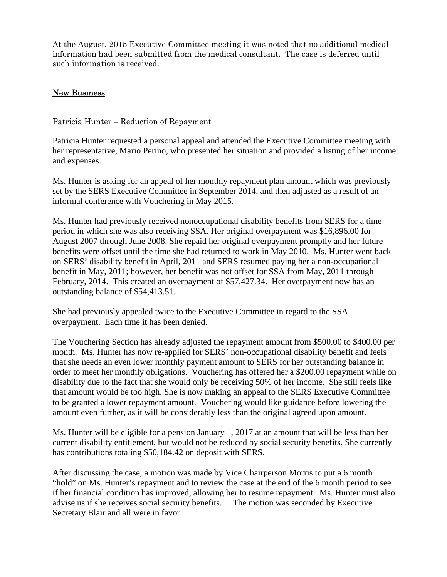At the August, 2015 Executive Committee meeting it was noted that no additional medical information had been submitted from the medical consultant. The case is deferred until such information is received.

# New Business

# Patricia Hunter – Reduction of Repayment

Patricia Hunter requested a personal appeal and attended the Executive Committee meeting with her representative, Mario Perino, who presented her situation and provided a listing of her income and expenses.

Ms. Hunter is asking for an appeal of her monthly repayment plan amount which was previously set by the SERS Executive Committee in September 2014, and then adjusted as a result of an informal conference with Vouchering in May 2015.

Ms. Hunter had previously received nonoccupational disability benefits from SERS for a time period in which she was also receiving SSA. Her original overpayment was \$16,896.00 for August 2007 through June 2008. She repaid her original overpayment promptly and her future benefits were offset until the time she had returned to work in May 2010. Ms. Hunter went back on SERS' disability benefit in April, 2011 and SERS resumed paying her a non-occupational benefit in May, 2011; however, her benefit was not offset for SSA from May, 2011 through February, 2014. This created an overpayment of \$57,427.34. Her overpayment now has an outstanding balance of \$54,413.51.

She had previously appealed twice to the Executive Committee in regard to the SSA overpayment. Each time it has been denied.

The Vouchering Section has already adjusted the repayment amount from \$500.00 to \$400.00 per month. Ms. Hunter has now re-applied for SERS' non-occupational disability benefit and feels that she needs an even lower monthly payment amount to SERS for her outstanding balance in order to meet her monthly obligations. Vouchering has offered her a \$200.00 repayment while on disability due to the fact that she would only be receiving 50% of her income. She still feels like that amount would be too high. She is now making an appeal to the SERS Executive Committee to be granted a lower repayment amount. Vouchering would like guidance before lowering the amount even further, as it will be considerably less than the original agreed upon amount.

Ms. Hunter will be eligible for a pension January 1, 2017 at an amount that will be less than her current disability entitlement, but would not be reduced by social security benefits. She currently has contributions totaling \$50,184.42 on deposit with SERS.

After discussing the case, a motion was made by Vice Chairperson Morris to put a 6 month "hold" on Ms. Hunter's repayment and to review the case at the end of the 6 month period to see if her financial condition has improved, allowing her to resume repayment. Ms. Hunter must also advise us if she receives social security benefits. The motion was seconded by Executive Secretary Blair and all were in favor.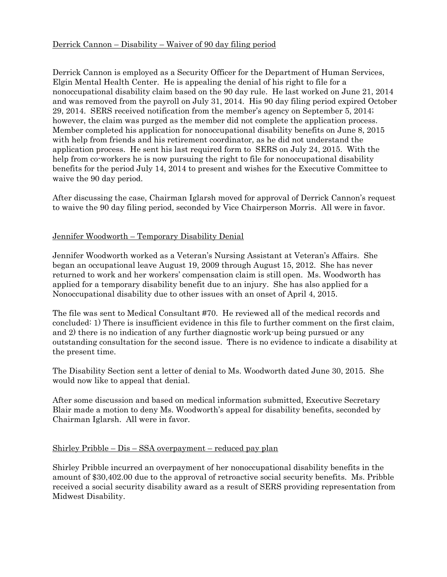# Derrick Cannon – Disability – Waiver of 90 day filing period

Derrick Cannon is employed as a Security Officer for the Department of Human Services, Elgin Mental Health Center. He is appealing the denial of his right to file for a nonoccupational disability claim based on the 90 day rule. He last worked on June 21, 2014 and was removed from the payroll on July 31, 2014. His 90 day filing period expired October 29, 2014. SERS received notification from the member's agency on September 5, 2014; however, the claim was purged as the member did not complete the application process. Member completed his application for nonoccupational disability benefits on June 8, 2015 with help from friends and his retirement coordinator, as he did not understand the application process. He sent his last required form to SERS on July 24, 2015. With the help from co-workers he is now pursuing the right to file for nonoccupational disability benefits for the period July 14, 2014 to present and wishes for the Executive Committee to waive the 90 day period.

After discussing the case, Chairman Iglarsh moved for approval of Derrick Cannon's request to waive the 90 day filing period, seconded by Vice Chairperson Morris. All were in favor.

# Jennifer Woodworth – Temporary Disability Denial

Jennifer Woodworth worked as a Veteran's Nursing Assistant at Veteran's Affairs. She began an occupational leave August 19, 2009 through August 15, 2012. She has never returned to work and her workers' compensation claim is still open. Ms. Woodworth has applied for a temporary disability benefit due to an injury. She has also applied for a Nonoccupational disability due to other issues with an onset of April 4, 2015.

The file was sent to Medical Consultant #70. He reviewed all of the medical records and concluded: 1) There is insufficient evidence in this file to further comment on the first claim, and 2) there is no indication of any further diagnostic work-up being pursued or any outstanding consultation for the second issue. There is no evidence to indicate a disability at the present time.

The Disability Section sent a letter of denial to Ms. Woodworth dated June 30, 2015. She would now like to appeal that denial.

After some discussion and based on medical information submitted, Executive Secretary Blair made a motion to deny Ms. Woodworth's appeal for disability benefits, seconded by Chairman Iglarsh. All were in favor.

# Shirley Pribble – Dis – SSA overpayment – reduced pay plan

Shirley Pribble incurred an overpayment of her nonoccupational disability benefits in the amount of \$30,402.00 due to the approval of retroactive social security benefits. Ms. Pribble received a social security disability award as a result of SERS providing representation from Midwest Disability.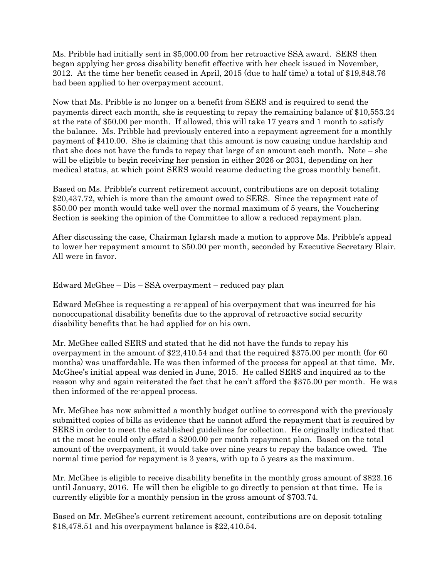Ms. Pribble had initially sent in \$5,000.00 from her retroactive SSA award. SERS then began applying her gross disability benefit effective with her check issued in November, 2012. At the time her benefit ceased in April, 2015 (due to half time) a total of \$19,848.76 had been applied to her overpayment account.

Now that Ms. Pribble is no longer on a benefit from SERS and is required to send the payments direct each month, she is requesting to repay the remaining balance of \$10,553.24 at the rate of \$50.00 per month. If allowed, this will take 17 years and 1 month to satisfy the balance. Ms. Pribble had previously entered into a repayment agreement for a monthly payment of \$410.00. She is claiming that this amount is now causing undue hardship and that she does not have the funds to repay that large of an amount each month. Note – she will be eligible to begin receiving her pension in either 2026 or 2031, depending on her medical status, at which point SERS would resume deducting the gross monthly benefit.

Based on Ms. Pribble's current retirement account, contributions are on deposit totaling \$20,437.72, which is more than the amount owed to SERS. Since the repayment rate of \$50.00 per month would take well over the normal maximum of 5 years, the Vouchering Section is seeking the opinion of the Committee to allow a reduced repayment plan.

After discussing the case, Chairman Iglarsh made a motion to approve Ms. Pribble's appeal to lower her repayment amount to \$50.00 per month, seconded by Executive Secretary Blair. All were in favor.

# Edward McGhee – Dis – SSA overpayment – reduced pay plan

Edward McGhee is requesting a re-appeal of his overpayment that was incurred for his nonoccupational disability benefits due to the approval of retroactive social security disability benefits that he had applied for on his own.

Mr. McGhee called SERS and stated that he did not have the funds to repay his overpayment in the amount of \$22,410.54 and that the required \$375.00 per month (for 60 months) was unaffordable. He was then informed of the process for appeal at that time. Mr. McGhee's initial appeal was denied in June, 2015. He called SERS and inquired as to the reason why and again reiterated the fact that he can't afford the \$375.00 per month. He was then informed of the re-appeal process.

Mr. McGhee has now submitted a monthly budget outline to correspond with the previously submitted copies of bills as evidence that he cannot afford the repayment that is required by SERS in order to meet the established guidelines for collection. He originally indicated that at the most he could only afford a \$200.00 per month repayment plan. Based on the total amount of the overpayment, it would take over nine years to repay the balance owed. The normal time period for repayment is 3 years, with up to 5 years as the maximum.

Mr. McGhee is eligible to receive disability benefits in the monthly gross amount of \$823.16 until January, 2016. He will then be eligible to go directly to pension at that time. He is currently eligible for a monthly pension in the gross amount of \$703.74.

Based on Mr. McGhee's current retirement account, contributions are on deposit totaling \$18,478.51 and his overpayment balance is \$22,410.54.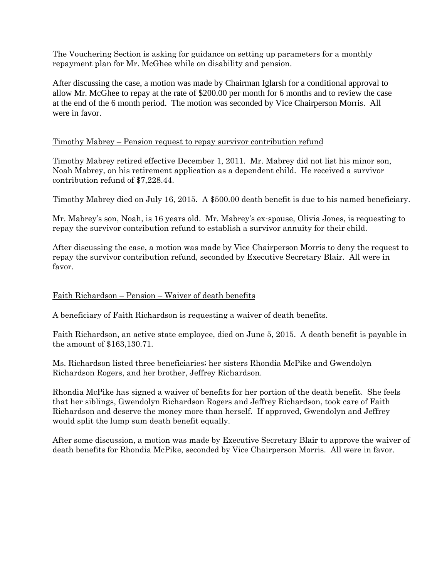The Vouchering Section is asking for guidance on setting up parameters for a monthly repayment plan for Mr. McGhee while on disability and pension.

After discussing the case, a motion was made by Chairman Iglarsh for a conditional approval to allow Mr. McGhee to repay at the rate of \$200.00 per month for 6 months and to review the case at the end of the 6 month period. The motion was seconded by Vice Chairperson Morris. All were in favor.

# Timothy Mabrey – Pension request to repay survivor contribution refund

Timothy Mabrey retired effective December 1, 2011. Mr. Mabrey did not list his minor son, Noah Mabrey, on his retirement application as a dependent child. He received a survivor contribution refund of \$7,228.44.

Timothy Mabrey died on July 16, 2015. A \$500.00 death benefit is due to his named beneficiary.

Mr. Mabrey's son, Noah, is 16 years old. Mr. Mabrey's ex-spouse, Olivia Jones, is requesting to repay the survivor contribution refund to establish a survivor annuity for their child.

After discussing the case, a motion was made by Vice Chairperson Morris to deny the request to repay the survivor contribution refund, seconded by Executive Secretary Blair. All were in favor.

#### Faith Richardson – Pension – Waiver of death benefits

A beneficiary of Faith Richardson is requesting a waiver of death benefits.

Faith Richardson, an active state employee, died on June 5, 2015. A death benefit is payable in the amount of \$163,130.71.

Ms. Richardson listed three beneficiaries; her sisters Rhondia McPike and Gwendolyn Richardson Rogers, and her brother, Jeffrey Richardson.

Rhondia McPike has signed a waiver of benefits for her portion of the death benefit. She feels that her siblings, Gwendolyn Richardson Rogers and Jeffrey Richardson, took care of Faith Richardson and deserve the money more than herself. If approved, Gwendolyn and Jeffrey would split the lump sum death benefit equally.

After some discussion, a motion was made by Executive Secretary Blair to approve the waiver of death benefits for Rhondia McPike, seconded by Vice Chairperson Morris. All were in favor.